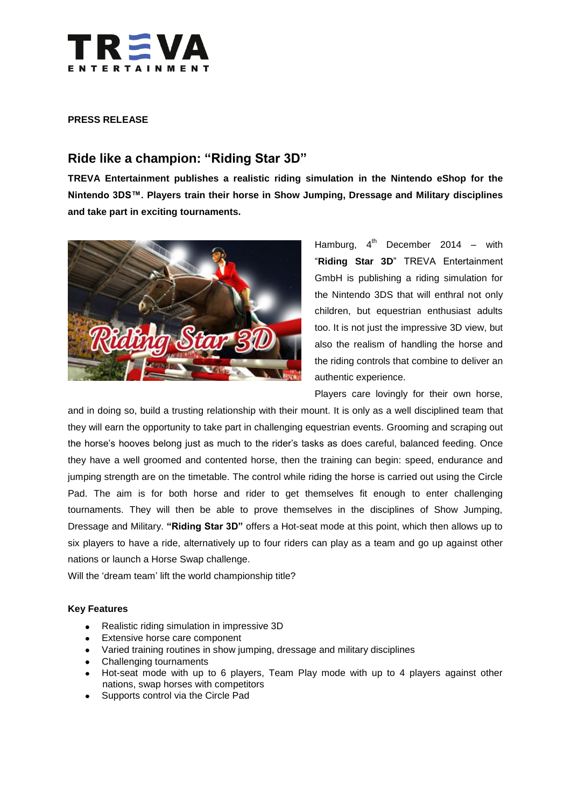

### **PRESS RELEASE**

# **Ride like a champion: "Riding Star 3D"**

**TREVA Entertainment publishes a realistic riding simulation in the Nintendo eShop for the Nintendo 3DS™. Players train their horse in Show Jumping, Dressage and Military disciplines and take part in exciting tournaments.**



Hamburg, 4<sup>th</sup> December  $2014 -$  with "**Riding Star 3D**" TREVA Entertainment GmbH is publishing a riding simulation for the Nintendo 3DS that will enthral not only children, but equestrian enthusiast adults too. It is not just the impressive 3D view, but also the realism of handling the horse and the riding controls that combine to deliver an authentic experience.

Players care lovingly for their own horse,

and in doing so, build a trusting relationship with their mount. It is only as a well disciplined team that they will earn the opportunity to take part in challenging equestrian events. Grooming and scraping out the horse's hooves belong just as much to the rider's tasks as does careful, balanced feeding. Once they have a well groomed and contented horse, then the training can begin: speed, endurance and jumping strength are on the timetable. The control while riding the horse is carried out using the Circle Pad. The aim is for both horse and rider to get themselves fit enough to enter challenging tournaments. They will then be able to prove themselves in the disciplines of Show Jumping, Dressage and Military. **"Riding Star 3D"** offers a Hot-seat mode at this point, which then allows up to six players to have a ride, alternatively up to four riders can play as a team and go up against other nations or launch a Horse Swap challenge.

Will the 'dream team' lift the world championship title?

#### **Key Features**

- Realistic riding simulation in impressive 3D  $\bullet$
- Extensive horse care component
- Varied training routines in show jumping, dressage and military disciplines
- Challenging tournaments
- Hot-seat mode with up to 6 players, Team Play mode with up to 4 players against other nations, swap horses with competitors
- Supports control via the Circle Pad